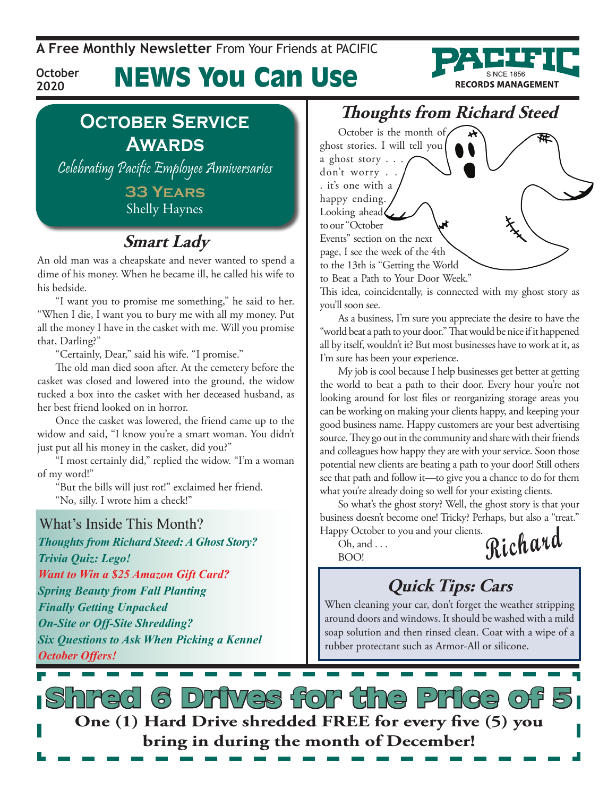**A Free Monthly Newsletter** From Your Friends at Pacific

# News You Can Use



### **October Service Awards**

**October 2020**

Celebrating Pacific Employee Anniversaries

**33 Years**  Shelly Haynes

### **Smart Lady**

An old man was a cheapskate and never wanted to spend a dime of his money. When he became ill, he called his wife to his bedside.

"I want you to promise me something," he said to her. "When I die, I want you to bury me with all my money. Put all the money I have in the casket with me. Will you promise that, Darling?"

"Certainly, Dear," said his wife. "I promise."

The old man died soon after. At the cemetery before the casket was closed and lowered into the ground, the widow tucked a box into the casket with her deceased husband, as her best friend looked on in horror.

Once the casket was lowered, the friend came up to the widow and said, "I know you're a smart woman. You didn't just put all his money in the casket, did you?"

"I most certainly did," replied the widow. "I'm a woman of my word!"

"But the bills will just rot!" exclaimed her friend. "No, silly. I wrote him a check!"

What's Inside This Month? *Thoughts from Richard Steed: A Ghost Story? Trivia Quiz: Lego! Want to Win a \$25 Amazon Gift Card? Spring Beauty from Fall Planting Finally Getting Unpacked On-Site or Off-Site Shredding? Six Questions to Ask When Picking a Kennel October Offers!*

### **Thoughts from Richard Steed**

October is the month of ghost stories. I will tell you a ghost story . . . don't worry . . . it's one with a happy ending. Looking ahead to our "October Events" section on the next page, I see the week of the 4th to the 13th is "Getting the World to Beat a Path to Your Door Week."

This idea, coincidentally, is connected with my ghost story as you'll soon see.

As a business, I'm sure you appreciate the desire to have the "world beat a path to your door." That would be nice if it happened all by itself, wouldn't it? But most businesses have to work at it, as I'm sure has been your experience.

My job is cool because I help businesses get better at getting the world to beat a path to their door. Every hour you're not looking around for lost files or reorganizing storage areas you can be working on making your clients happy, and keeping your good business name. Happy customers are your best advertising source. They go out in the community and share with their friends and colleagues how happy they are with your service. Soon those potential new clients are beating a path to your door! Still others see that path and follow it—to give you a chance to do for them what you're already doing so well for your existing clients.

So what's the ghost story? Well, the ghost story is that your business doesn't become one! Tricky? Perhaps, but also a "treat." Happy October to you and your clients.

 $Oh, and \ldots$ 

 $\overline{\text{BMO}}$  **Richard** 

## **Quick Tips: Cars**

When cleaning your car, don't forget the weather stripping around doors and windows. It should be washed with a mild soap solution and then rinsed clean. Coat with a wipe of a rubber protectant such as Armor-All or silicone.

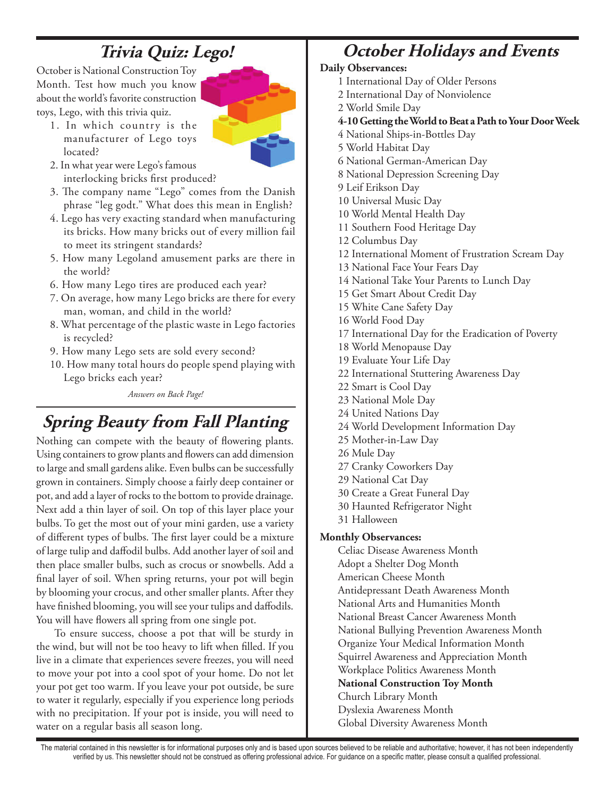## **Trivia Quiz: Lego!**

October is National Construction Toy Month. Test how much you know about the world's favorite construction toys, Lego, with this trivia quiz.

1. In which country is the manufacturer of Lego toys located?



- 2. In what year were Lego's famous interlocking bricks first produced?
- 3. The company name "Lego" comes from the Danish phrase "leg godt." What does this mean in English?
- 4. Lego has very exacting standard when manufacturing its bricks. How many bricks out of every million fail to meet its stringent standards?
- 5. How many Legoland amusement parks are there in the world?
- 6. How many Lego tires are produced each year?
- 7. On average, how many Lego bricks are there for every man, woman, and child in the world?
- 8. What percentage of the plastic waste in Lego factories is recycled?
- 9. How many Lego sets are sold every second?
- 10. How many total hours do people spend playing with Lego bricks each year?

*Answers on Back Page!*

## **Spring Beauty from Fall Planting**

Nothing can compete with the beauty of flowering plants. Using containers to grow plants and flowers can add dimension to large and small gardens alike. Even bulbs can be successfully grown in containers. Simply choose a fairly deep container or pot, and add a layer of rocks to the bottom to provide drainage. Next add a thin layer of soil. On top of this layer place your bulbs. To get the most out of your mini garden, use a variety of different types of bulbs. The first layer could be a mixture of large tulip and daffodil bulbs. Add another layer of soil and then place smaller bulbs, such as crocus or snowbells. Add a final layer of soil. When spring returns, your pot will begin by blooming your crocus, and other smaller plants. After they have finished blooming, you will see your tulips and daffodils. You will have flowers all spring from one single pot.

To ensure success, choose a pot that will be sturdy in the wind, but will not be too heavy to lift when filled. If you live in a climate that experiences severe freezes, you will need to move your pot into a cool spot of your home. Do not let your pot get too warm. If you leave your pot outside, be sure to water it regularly, especially if you experience long periods with no precipitation. If your pot is inside, you will need to water on a regular basis all season long.

### **October Holidays and Events**

### **Daily Observances:**

- 1 International Day of Older Persons
- 2 International Day of Nonviolence
- 2 World Smile Day
- **4-10 Getting the World to Beat a Path to Your Door Week**
- 4 National Ships-in-Bottles Day
- 5 World Habitat Day
- 6 National German-American Day
- 8 National Depression Screening Day
- 9 Leif Erikson Day
- 10 Universal Music Day
- 10 World Mental Health Day
- 11 Southern Food Heritage Day
- 12 Columbus Day
- 12 International Moment of Frustration Scream Day
- 13 National Face Your Fears Day
- 14 National Take Your Parents to Lunch Day
- 15 Get Smart About Credit Day
- 15 White Cane Safety Day
- 16 World Food Day
- 17 International Day for the Eradication of Poverty
- 18 World Menopause Day
- 19 Evaluate Your Life Day
- 22 International Stuttering Awareness Day
- 22 Smart is Cool Day
- 23 National Mole Day
- 24 United Nations Day
- 24 World Development Information Day
- 25 Mother-in-Law Day
- 26 Mule Day
- 27 Cranky Coworkers Day
- 29 National Cat Day
- 30 Create a Great Funeral Day
- 30 Haunted Refrigerator Night
- 31 Halloween

### **Monthly Observances:**

Celiac Disease Awareness Month Adopt a Shelter Dog Month American Cheese Month Antidepressant Death Awareness Month National Arts and Humanities Month National Breast Cancer Awareness Month National Bullying Prevention Awareness Month Organize Your Medical Information Month Squirrel Awareness and Appreciation Month Workplace Politics Awareness Month **National Construction Toy Month** Church Library Month Dyslexia Awareness Month Global Diversity Awareness Month

The material contained in this newsletter is for informational purposes only and is based upon sources believed to be reliable and authoritative; however, it has not been independently verified by us. This newsletter should not be construed as offering professional advice. For guidance on a specific matter, please consult a qualified professional.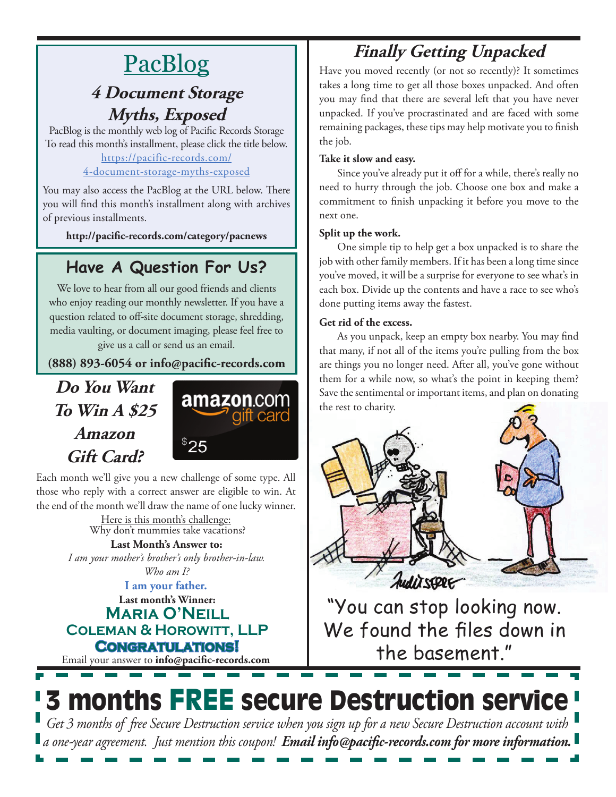# **PacBlog**

### **4 Document Storage Myths, Exposed**

PacBlog is the monthly web log of Pacific Records Storage To read this month's installment, please click the title below[.](http://pacific-records.com/5-advantages-of-a-local-shredding-and-destruction-provider) [https://pacific-records.com/](https://pacific-records.com/4-document-storage-myths-exposed)

### [4-document-storage-myths-exposed](https://pacific-records.com/4-document-storage-myths-exposed)

You may also access the PacBlog at the URL below. There you will find this month's installment along with archives of previous installments.

**http://pacific-records.com/category/pacnews**

### **Have A Question For Us?**

We love to hear from all our good friends and clients who enjoy reading our monthly newsletter. If you have a question related to off-site document storage, shredding, media vaulting, or document imaging, please feel free to give us a call or send us an email.

**(888) 893-6054 or info@pacific-records.com**

**Do You Want To Win A \$25 Amazon Gift Card?**



Each month we'll give you a new challenge of some type. All those who reply with a correct answer are eligible to win. At the end of the month we'll draw the name of one lucky winner.

> Here is this month's challenge: **Last Month's Answer to:**  Why don't mummies take vacations?

*I am your mother's brother's only brother-in-law.*

*Who am I?*

**Last month's Winner: Maria O'Neill Coleman & Horowitt, LLP Congratulations! I am your father.**

Email your answer to **info@pacific-records.com**

# **Finally Getting Unpacked**

Have you moved recently (or not so recently)? It sometimes takes a long time to get all those boxes unpacked. And often you may find that there are several left that you have never unpacked. If you've procrastinated and are faced with some remaining packages, these tips may help motivate you to finish the job.

### **Take it slow and easy.**

Since you've already put it off for a while, there's really no need to hurry through the job. Choose one box and make a commitment to finish unpacking it before you move to the next one.

### **Split up the work.**

One simple tip to help get a box unpacked is to share the job with other family members. If it has been a long time since you've moved, it will be a surprise for everyone to see what's in each box. Divide up the contents and have a race to see who's done putting items away the fastest.

### **Get rid of the excess.**

As you unpack, keep an empty box nearby. You may find that many, if not all of the items you're pulling from the box are things you no longer need. After all, you've gone without them for a while now, so what's the point in keeping them? Save the sentimental or important items, and plan on donating the rest to charity.



"You can stop looking now. We found the files down in the basement."

# 3 months FREE secure Destruction service

*Get 3 months of free Secure Destruction service when you sign up for a new Secure Destruction account with a one-year agreement. Just mention this coupon! Email info@pacific-records.com for more information.*